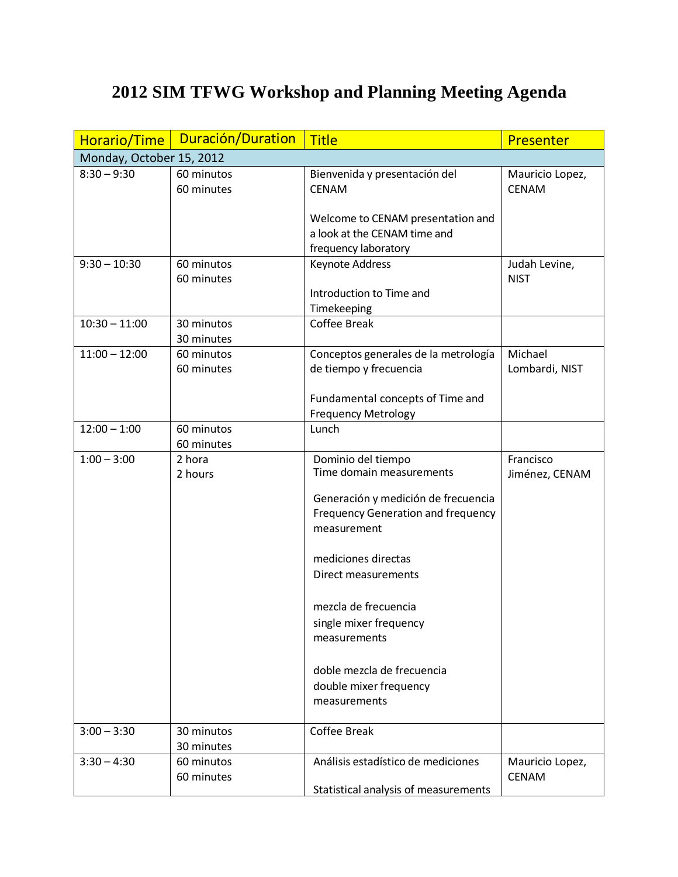## **2012 SIM TFWG Workshop and Planning Meeting Agenda**

| Horario/Time             | Duración/Duration        | <b>Title</b>                                                                                                                                                                                                                                                                                                                       | Presenter                       |  |  |
|--------------------------|--------------------------|------------------------------------------------------------------------------------------------------------------------------------------------------------------------------------------------------------------------------------------------------------------------------------------------------------------------------------|---------------------------------|--|--|
| Monday, October 15, 2012 |                          |                                                                                                                                                                                                                                                                                                                                    |                                 |  |  |
| $8:30 - 9:30$            | 60 minutos<br>60 minutes | Bienvenida y presentación del<br><b>CENAM</b>                                                                                                                                                                                                                                                                                      | Mauricio Lopez,<br><b>CENAM</b> |  |  |
|                          |                          | Welcome to CENAM presentation and<br>a look at the CENAM time and<br>frequency laboratory                                                                                                                                                                                                                                          |                                 |  |  |
| $9:30 - 10:30$           | 60 minutos<br>60 minutes | Keynote Address<br>Introduction to Time and<br>Timekeeping                                                                                                                                                                                                                                                                         | Judah Levine,<br><b>NIST</b>    |  |  |
| $10:30 - 11:00$          | 30 minutos<br>30 minutes | <b>Coffee Break</b>                                                                                                                                                                                                                                                                                                                |                                 |  |  |
| $11:00 - 12:00$          | 60 minutos<br>60 minutes | Conceptos generales de la metrología<br>de tiempo y frecuencia                                                                                                                                                                                                                                                                     | Michael<br>Lombardi, NIST       |  |  |
|                          |                          | Fundamental concepts of Time and<br><b>Frequency Metrology</b>                                                                                                                                                                                                                                                                     |                                 |  |  |
| $12:00 - 1:00$           | 60 minutos<br>60 minutes | Lunch                                                                                                                                                                                                                                                                                                                              |                                 |  |  |
| $1:00 - 3:00$            | 2 hora<br>2 hours        | Dominio del tiempo<br>Time domain measurements<br>Generación y medición de frecuencia<br>Frequency Generation and frequency<br>measurement<br>mediciones directas<br>Direct measurements<br>mezcla de frecuencia<br>single mixer frequency<br>measurements<br>doble mezcla de frecuencia<br>double mixer frequency<br>measurements | Francisco<br>Jiménez, CENAM     |  |  |
| $3:00 - 3:30$            | 30 minutos<br>30 minutes | Coffee Break                                                                                                                                                                                                                                                                                                                       |                                 |  |  |
| $3:30 - 4:30$            | 60 minutos<br>60 minutes | Análisis estadístico de mediciones<br>Statistical analysis of measurements                                                                                                                                                                                                                                                         | Mauricio Lopez,<br><b>CENAM</b> |  |  |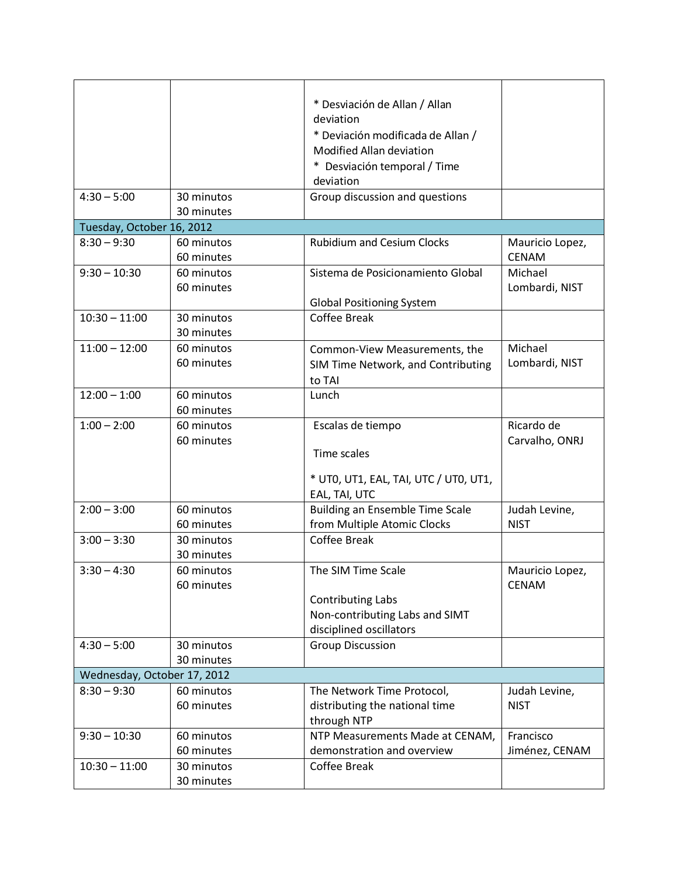|                             |            | * Desviación de Allan / Allan          |                 |  |  |
|-----------------------------|------------|----------------------------------------|-----------------|--|--|
|                             |            | deviation                              |                 |  |  |
|                             |            | * Deviación modificada de Allan /      |                 |  |  |
|                             |            | Modified Allan deviation               |                 |  |  |
|                             |            |                                        |                 |  |  |
|                             |            | * Desviación temporal / Time           |                 |  |  |
|                             |            | deviation                              |                 |  |  |
| $4:30 - 5:00$               | 30 minutos | Group discussion and questions         |                 |  |  |
|                             | 30 minutes |                                        |                 |  |  |
| Tuesday, October 16, 2012   |            |                                        |                 |  |  |
| $8:30 - 9:30$               | 60 minutos | <b>Rubidium and Cesium Clocks</b>      | Mauricio Lopez, |  |  |
|                             | 60 minutes |                                        | <b>CENAM</b>    |  |  |
| $9:30 - 10:30$              | 60 minutos | Sistema de Posicionamiento Global      | Michael         |  |  |
|                             | 60 minutes |                                        | Lombardi, NIST  |  |  |
|                             |            | <b>Global Positioning System</b>       |                 |  |  |
| $10:30 - 11:00$             | 30 minutos | <b>Coffee Break</b>                    |                 |  |  |
|                             | 30 minutes |                                        |                 |  |  |
| $11:00 - 12:00$             | 60 minutos | Common-View Measurements, the          | Michael         |  |  |
|                             | 60 minutes | SIM Time Network, and Contributing     | Lombardi, NIST  |  |  |
|                             |            | to TAI                                 |                 |  |  |
| $12:00 - 1:00$              | 60 minutos | Lunch                                  |                 |  |  |
|                             | 60 minutes |                                        |                 |  |  |
| $1:00 - 2:00$               | 60 minutos | Escalas de tiempo                      | Ricardo de      |  |  |
|                             | 60 minutes |                                        | Carvalho, ONRJ  |  |  |
|                             |            | Time scales                            |                 |  |  |
|                             |            |                                        |                 |  |  |
|                             |            | * UT0, UT1, EAL, TAI, UTC / UT0, UT1,  |                 |  |  |
|                             |            | EAL, TAI, UTC                          |                 |  |  |
| $2:00 - 3:00$               | 60 minutos | <b>Building an Ensemble Time Scale</b> | Judah Levine,   |  |  |
|                             | 60 minutes | from Multiple Atomic Clocks            | <b>NIST</b>     |  |  |
| $3:00 - 3:30$               | 30 minutos | <b>Coffee Break</b>                    |                 |  |  |
|                             | 30 minutes |                                        |                 |  |  |
| $3:30 - 4:30$               | 60 minutos | The SIM Time Scale                     | Mauricio Lopez, |  |  |
|                             | 60 minutes |                                        | <b>CENAM</b>    |  |  |
|                             |            | <b>Contributing Labs</b>               |                 |  |  |
|                             |            | Non-contributing Labs and SIMT         |                 |  |  |
|                             |            | disciplined oscillators                |                 |  |  |
| $4:30 - 5:00$               | 30 minutos | <b>Group Discussion</b>                |                 |  |  |
|                             | 30 minutes |                                        |                 |  |  |
| Wednesday, October 17, 2012 |            |                                        |                 |  |  |
| $8:30 - 9:30$               | 60 minutos | The Network Time Protocol,             | Judah Levine,   |  |  |
|                             | 60 minutes | distributing the national time         | <b>NIST</b>     |  |  |
|                             |            | through NTP                            |                 |  |  |
| $9:30 - 10:30$              | 60 minutos | NTP Measurements Made at CENAM,        | Francisco       |  |  |
|                             | 60 minutes | demonstration and overview             | Jiménez, CENAM  |  |  |
|                             |            | Coffee Break                           |                 |  |  |
| $10:30 - 11:00$             | 30 minutos |                                        |                 |  |  |
|                             | 30 minutes |                                        |                 |  |  |